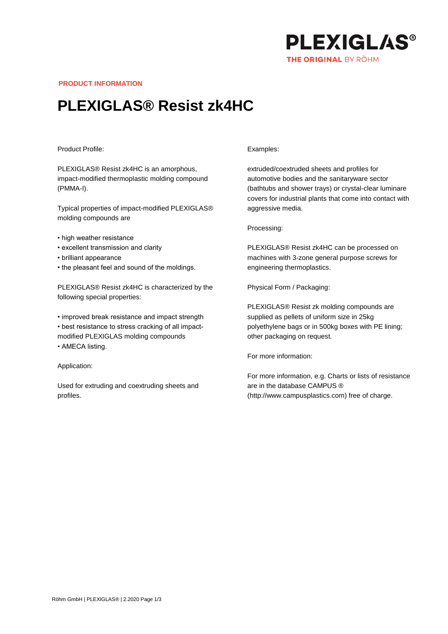

**PRODUCT INFORMATION**

## **PLEXIGLAS® Resist zk4HC**

## Product Profile:

PLEXIGLAS® Resist zk4HC is an amorphous, impact-modified thermoplastic molding compound (PMMA-I).

Typical properties of impact-modified PLEXIGLAS® molding compounds are

- high weather resistance
- excellent transmission and clarity
- brilliant appearance
- the pleasant feel and sound of the moldings.

PLEXIGLAS® Resist zk4HC is characterized by the following special properties:

• improved break resistance and impact strength • best resistance to stress cracking of all impactmodified PLEXIGLAS molding compounds • AMECA listing.

Application:

Used for extruding and coextruding sheets and profiles.

## Examples:

extruded/coextruded sheets and profiles for automotive bodies and the sanitaryware sector (bathtubs and shower trays) or crystal-clear luminare covers for industrial plants that come into contact with aggressive media.

Processing:

PLEXIGLAS® Resist zk4HC can be processed on machines with 3-zone general purpose screws for engineering thermoplastics.

Physical Form / Packaging:

PLEXIGLAS® Resist zk molding compounds are supplied as pellets of uniform size in 25kg polyethylene bags or in 500kg boxes with PE lining; other packaging on request.

For more information:

For more information, e.g. Charts or lists of resistance are in the database CAMPUS ® (http://www.campusplastics.com) free of charge.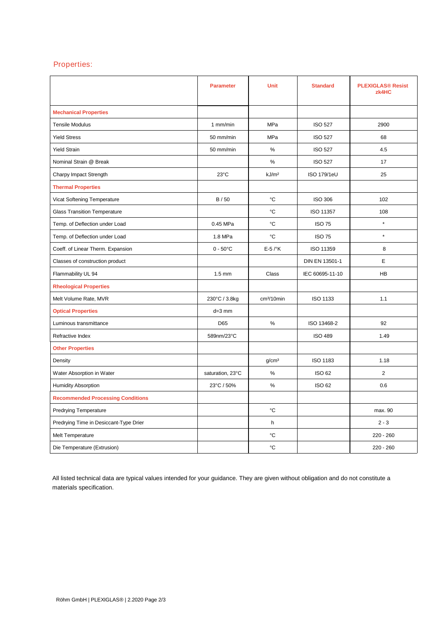## Properties:

|                                          | <b>Parameter</b>  | <b>Unit</b>            | <b>Standard</b>    | <b>PLEXIGLAS® Resist</b><br>zk4HC |
|------------------------------------------|-------------------|------------------------|--------------------|-----------------------------------|
| <b>Mechanical Properties</b>             |                   |                        |                    |                                   |
| <b>Tensile Modulus</b>                   | 1 mm/min          | <b>MPa</b>             | <b>ISO 527</b>     | 2900                              |
| <b>Yield Stress</b>                      | 50 mm/min         | MPa                    | <b>ISO 527</b>     | 68                                |
| <b>Yield Strain</b>                      | 50 mm/min         | $\%$                   | <b>ISO 527</b>     | 4.5                               |
| Nominal Strain @ Break                   |                   | %                      | <b>ISO 527</b>     | 17                                |
| Charpy Impact Strength                   | $23^{\circ}$ C    | kJ/m <sup>2</sup>      | <b>ISO 179/1eU</b> | 25                                |
| <b>Thermal Properties</b>                |                   |                        |                    |                                   |
| Vicat Softening Temperature              | B / 50            | °C                     | <b>ISO 306</b>     | 102                               |
| <b>Glass Transition Temperature</b>      |                   | °C                     | ISO 11357          | 108                               |
| Temp. of Deflection under Load           | 0.45 MPa          | °C                     | <b>ISO 75</b>      | $\star$                           |
| Temp. of Deflection under Load           | 1.8 MPa           | °C                     | <b>ISO 75</b>      | $\star$                           |
| Coeff. of Linear Therm. Expansion        | $0 - 50^{\circ}C$ | $E-5$ / $\mathrm{K}$   | ISO 11359          | 8                                 |
| Classes of construction product          |                   |                        | DIN EN 13501-1     | E                                 |
| Flammability UL 94                       | $1.5 \text{ mm}$  | Class                  | IEC 60695-11-10    | <b>HB</b>                         |
| <b>Rheological Properties</b>            |                   |                        |                    |                                   |
| Melt Volume Rate, MVR                    | 230°C / 3.8kg     | cm <sup>3</sup> /10min | ISO 1133           | 1.1                               |
| <b>Optical Properties</b>                | $d=3$ mm          |                        |                    |                                   |
| Luminous transmittance                   | D65               | $\%$                   | ISO 13468-2        | 92                                |
| Refractive Index                         | 589nm/23°C        |                        | <b>ISO 489</b>     | 1.49                              |
| <b>Other Properties</b>                  |                   |                        |                    |                                   |
| Density                                  |                   | g/cm <sup>3</sup>      | <b>ISO 1183</b>    | 1.18                              |
| Water Absorption in Water                | saturation, 23°C  | $\%$                   | <b>ISO 62</b>      | $\overline{2}$                    |
| <b>Humidity Absorption</b>               | 23°C / 50%        | %                      | <b>ISO 62</b>      | 0.6                               |
| <b>Recommended Processing Conditions</b> |                   |                        |                    |                                   |
| <b>Predrying Temperature</b>             |                   | °C                     |                    | max. 90                           |
| Predrying Time in Desiccant-Type Drier   |                   | h                      |                    | $2 - 3$                           |
| Melt Temperature                         |                   | °C                     |                    | $220 - 260$                       |
| Die Temperature (Extrusion)              |                   | °C                     |                    | $220 - 260$                       |

All listed technical data are typical values intended for your guidance. They are given without obligation and do not constitute a materials specification.